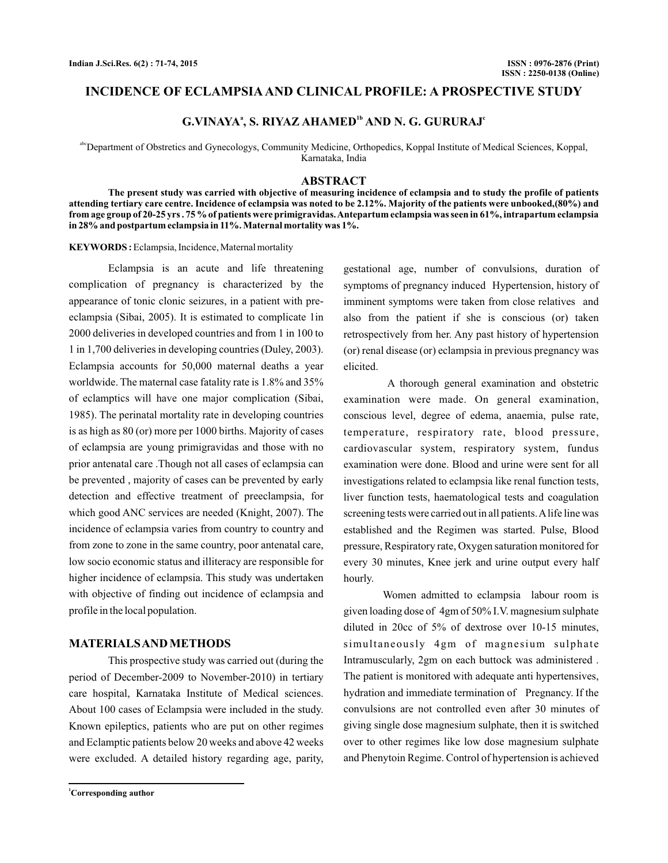# **INCIDENCE OF ECLAMPSIA AND CLINICAL PROFILE: A PROSPECTIVE STUDY**

# $G.VINAYA<sup>a</sup>$ , S. RIYAZ AHAMED<sup>1b</sup> AND N. G. GURURAJ<sup>c</sup>

abcDepartment of Obstretics and Gynecologys, Community Medicine, Orthopedics, Koppal Institute of Medical Sciences, Koppal, Karnataka, India

## **ABSTRACT**

**The present study was carried with objective of measuring incidence of eclampsia and to study the profile of patients attending tertiary care centre. Incidence of eclampsia was noted to be 2.12%. Majority of the patients were unbooked,(80%) and from age group of 20-25 yrs . 75 % of patients were primigravidas.Antepartum eclampsia was seen in 61%, intrapartum eclampsia in 28% and postpartum eclampsia in 11%. Maternal mortality was 1%.**

**KEYWORDS :** Eclampsia, Incidence, Maternal mortality

Eclampsia is an acute and life threatening complication of pregnancy is characterized by the appearance of tonic clonic seizures, in a patient with preeclampsia (Sibai, 2005). It is estimated to complicate 1in 2000 deliveries in developed countries and from 1 in 100 to 1 in 1,700 deliveries in developing countries (Duley, 2003). Eclampsia accounts for 50,000 maternal deaths a year worldwide. The maternal case fatality rate is 1.8% and 35% of eclamptics will have one major complication (Sibai, 1985). The perinatal mortality rate in developing countries is as high as 80 (or) more per 1000 births. Majority of cases of eclampsia are young primigravidas and those with no prior antenatal care .Though not all cases of eclampsia can be prevented , majority of cases can be prevented by early detection and effective treatment of preeclampsia, for which good ANC services are needed (Knight, 2007). The incidence of eclampsia varies from country to country and from zone to zone in the same country, poor antenatal care, low socio economic status and illiteracy are responsible for higher incidence of eclampsia. This study was undertaken with objective of finding out incidence of eclampsia and profile in the local population.

### **MATERIALSAND METHODS**

This prospective study was carried out (during the period of December-2009 to November-2010) in tertiary care hospital, Karnataka Institute of Medical sciences. About 100 cases of Eclampsia were included in the study. Known epileptics, patients who are put on other regimes and Eclamptic patients below 20 weeks and above 42 weeks were excluded. A detailed history regarding age, parity,

**<sup>1</sup>Corresponding author**

gestational age, number of convulsions, duration of symptoms of pregnancy induced Hypertension, history of imminent symptoms were taken from close relatives and also from the patient if she is conscious (or) taken retrospectively from her. Any past history of hypertension (or) renal disease (or) eclampsia in previous pregnancy was elicited.

A thorough general examination and obstetric examination were made. On general examination, conscious level, degree of edema, anaemia, pulse rate, temperature, respiratory rate, blood pressure, cardiovascular system, respiratory system, fundus examination were done. Blood and urine were sent for all investigations related to eclampsia like renal function tests, liver function tests, haematological tests and coagulation screening tests were carried out in all patients.Alife line was established and the Regimen was started. Pulse, Blood pressure, Respiratory rate, Oxygen saturation monitored for every 30 minutes, Knee jerk and urine output every half hourly.

Women admitted to eclampsia labour room is given loading dose of 4gm of 50% I.V. magnesium sulphate diluted in 20cc of 5% of dextrose over 10-15 minutes, simultaneously 4gm of magnesium sulphate Intramuscularly, 2gm on each buttock was administered . The patient is monitored with adequate anti hypertensives, hydration and immediate termination of Pregnancy. If the convulsions are not controlled even after 30 minutes of giving single dose magnesium sulphate, then it is switched over to other regimes like low dose magnesium sulphate and Phenytoin Regime. Control of hypertension is achieved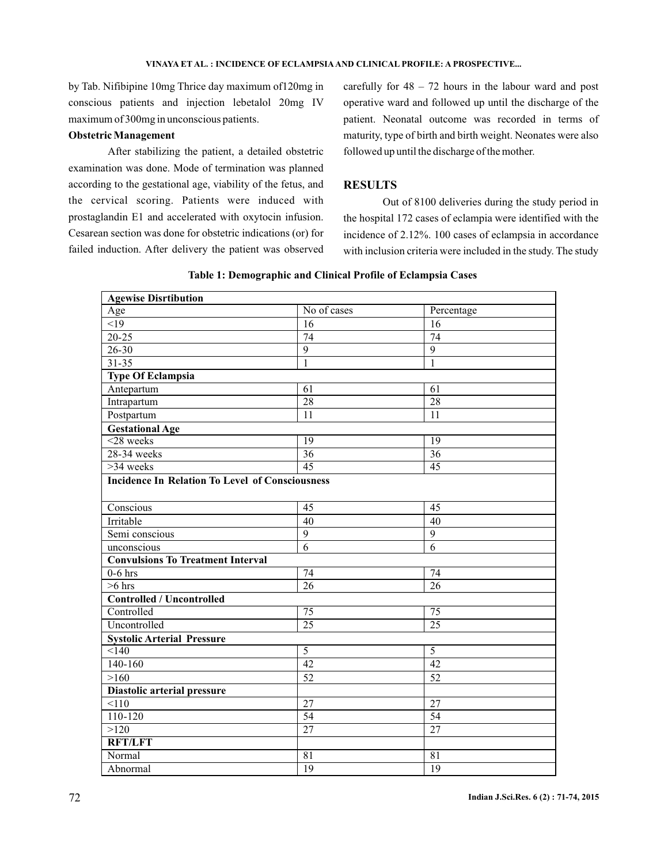by Tab. Nifibipine 10mg Thrice day maximum of120mg in conscious patients and injection lebetalol 20mg IV maximum of 300mg in unconscious patients.

### **Obstetric Management**

After stabilizing the patient, a detailed obstetric examination was done. Mode of termination was planned according to the gestational age, viability of the fetus, and the cervical scoring. Patients were induced with prostaglandin E1 and accelerated with oxytocin infusion. Cesarean section was done for obstetric indications (or) for failed induction. After delivery the patient was observed carefully for  $48 - 72$  hours in the labour ward and post operative ward and followed up until the discharge of the patient. Neonatal outcome was recorded in terms of maturity, type of birth and birth weight. Neonates were also followed up until the discharge of the mother.

# **RESULTS**

Out of 8100 deliveries during the study period in the hospital 172 cases of eclampia were identified with the incidence of 2.12%. 100 cases of eclampsia in accordance with inclusion criteria were included in the study. The study

| <b>Agewise Disrtibution</b>                            |                 |                  |  |
|--------------------------------------------------------|-----------------|------------------|--|
| Age                                                    | No of cases     | Percentage       |  |
| <19                                                    | 16              | 16               |  |
| $20 - 25$                                              | 74              | 74               |  |
| $26 - 30$                                              | 9               | $\boldsymbol{9}$ |  |
| $31 - 35$                                              | 1               | $\mathbf{1}$     |  |
| <b>Type Of Eclampsia</b>                               |                 |                  |  |
| Antepartum                                             | 61              | 61               |  |
| Intrapartum                                            | 28              | 28               |  |
| Postpartum                                             | 11              | 11               |  |
| <b>Gestational Age</b>                                 |                 |                  |  |
| $<$ 28 weeks                                           | $\overline{19}$ | $\overline{19}$  |  |
| 28-34 weeks                                            | $\overline{36}$ | $\overline{36}$  |  |
| $>34$ weeks                                            | 45              | 45               |  |
| <b>Incidence In Relation To Level of Consciousness</b> |                 |                  |  |
|                                                        |                 |                  |  |
| Conscious                                              | 45              | 45               |  |
| Irritable                                              | 40              | 40               |  |
| Semi conscious                                         | $\overline{9}$  | $\overline{9}$   |  |
| unconscious                                            | 6               | 6                |  |
| <b>Convulsions To Treatment Interval</b>               |                 |                  |  |
| $0-6$ hrs                                              | $\overline{74}$ | $\overline{74}$  |  |
| $>6$ hrs                                               | $\overline{26}$ | $\overline{26}$  |  |
| <b>Controlled / Uncontrolled</b>                       |                 |                  |  |
| Controlled                                             | $\overline{75}$ | $\overline{75}$  |  |
| Uncontrolled                                           | 25              | $\overline{25}$  |  |
| <b>Systolic Arterial Pressure</b>                      |                 |                  |  |
| < 140                                                  | 5               | 5                |  |
| $140 - 160$                                            | $\overline{42}$ | $\overline{42}$  |  |
| >160                                                   | 52              | 52               |  |
| Diastolic arterial pressure                            |                 |                  |  |
| 110                                                    | 27              | 27               |  |
| 110-120                                                | 54              | 54               |  |
| >120                                                   | $\overline{27}$ | $\overline{27}$  |  |
| <b>RFT/LFT</b>                                         |                 |                  |  |
| Normal                                                 | 81              | 81               |  |
| Abnormal                                               | 19              | 19               |  |

#### **Table 1: Demographic and Clinical Profile of Eclampsia Cases**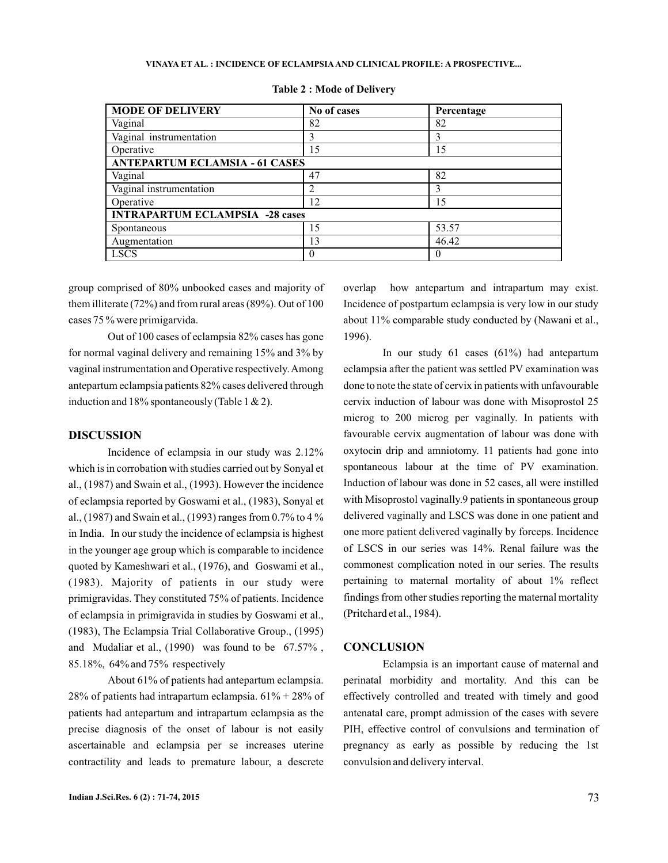#### **VINAYA ET AL. INCIDENCE OF ECLAMPSIA AND CLINICAL PROFILE: A PROSPECTIVE... :**

| <b>MODE OF DELIVERY</b>                | No of cases | Percentage |  |
|----------------------------------------|-------------|------------|--|
| Vaginal                                | 82          | 82         |  |
| Vaginal instrumentation                | 3           | 3          |  |
| Operative                              | 15          | 15         |  |
| <b>ANTEPARTUM ECLAMSIA - 61 CASES</b>  |             |            |  |
| Vaginal                                | 47          | 82         |  |
| Vaginal instrumentation                |             | 3          |  |
| Operative                              | 12          | 15         |  |
| <b>INTRAPARTUM ECLAMPSIA -28 cases</b> |             |            |  |
| Spontaneous                            | 15          | 53.57      |  |
| Augmentation                           | 13          | 46.42      |  |
| <b>LSCS</b>                            |             | $\theta$   |  |

**Table 2 : Mode of Delivery**

group comprised of 80% unbooked cases and majority of them illiterate (72%) and from rural areas (89%). Out of 100 cases 75 % were primigarvida.

Out of 100 cases of eclampsia 82% cases has gone for normal vaginal delivery and remaining 15% and 3% by vaginal instrumentation and Operative respectively.Among antepartum eclampsia patients 82% cases delivered through induction and 18% spontaneously (Table 1  $\&$  2).

### **DISCUSSION**

Incidence of eclampsia in our study was 2.12% which is in corrobation with studies carried out by Sonyal et al., (1987) and Swain et al., (1993). However the incidence of eclampsia reported by Goswami et al., (1983), Sonyal et al., (1987) and Swain et al., (1993) ranges from 0.7% to 4 % in India. In our study the incidence of eclampsia is highest in the younger age group which is comparable to incidence quoted by Kameshwari et al., (1976), and Goswami et al., (1983). Majority of patients in our study were primigravidas. They constituted 75% of patients. Incidence of eclampsia in primigravida in studies by Goswami et al., (1983), The Eclampsia Trial Collaborative Group., (1995) and Mudaliar et al., (1990) was found to be 67.57% , 85.18%, 64% and 75% respectively

About 61% of patients had antepartum eclampsia. 28% of patients had intrapartum eclampsia.  $61\% + 28\%$  of patients had antepartum and intrapartum eclampsia as the precise diagnosis of the onset of labour is not easily ascertainable and eclampsia per se increases uterine contractility and leads to premature labour, a descrete overlap how antepartum and intrapartum may exist. Incidence of postpartum eclampsia is very low in our study about 11% comparable study conducted by (Nawani et al., 1996).

In our study 61 cases (61%) had antepartum eclampsia after the patient was settled PV examination was done to note the state of cervix in patients with unfavourable cervix induction of labour was done with Misoprostol 25 microg to 200 microg per vaginally. In patients with favourable cervix augmentation of labour was done with oxytocin drip and amniotomy. 11 patients had gone into spontaneous labour at the time of PV examination. Induction of labour was done in 52 cases, all were instilled with Misoprostol vaginally.9 patients in spontaneous group delivered vaginally and LSCS was done in one patient and one more patient delivered vaginally by forceps. Incidence of LSCS in our series was 14%. Renal failure was the commonest complication noted in our series. The results pertaining to maternal mortality of about 1% reflect findings from other studies reporting the maternal mortality (Pritchard et al., 1984).

# **CONCLUSION**

Eclampsia is an important cause of maternal and perinatal morbidity and mortality. And this can be effectively controlled and treated with timely and good antenatal care, prompt admission of the cases with severe PIH, effective control of convulsions and termination of pregnancy as early as possible by reducing the 1st convulsion and delivery interval.